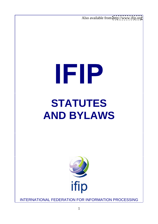Also available from <http://www.ifip.org>

# **IFIP STATUTES AND BYLAWS**



INTERNATIONAL FEDERATION FOR INFORMATION PROCESSING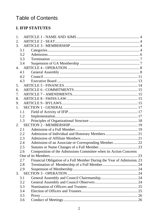# **Table of Contents**

## **I. IFIP STATUTES**

| 1.               |     |                                                                        |  |
|------------------|-----|------------------------------------------------------------------------|--|
| $\overline{2}$ . |     |                                                                        |  |
| $\mathcal{E}$    |     |                                                                        |  |
|                  | 3.1 |                                                                        |  |
|                  | 3.2 |                                                                        |  |
|                  | 3.3 |                                                                        |  |
|                  | 3.4 |                                                                        |  |
| $\overline{4}$   |     |                                                                        |  |
|                  | 4.1 |                                                                        |  |
|                  | 4.2 |                                                                        |  |
|                  | 4.3 |                                                                        |  |
| 5.               |     |                                                                        |  |
| 6.               |     |                                                                        |  |
| 7.               |     |                                                                        |  |
| 8.               |     |                                                                        |  |
| 9.               |     |                                                                        |  |
| 1.               |     |                                                                        |  |
|                  | 1.1 |                                                                        |  |
|                  | 1.2 |                                                                        |  |
|                  | 1.3 |                                                                        |  |
| 2.               |     |                                                                        |  |
|                  | 2.1 |                                                                        |  |
|                  | 2.2 |                                                                        |  |
|                  | 2.3 |                                                                        |  |
|                  | 2.4 | Admission of an Associate or Corresponding Member 22                   |  |
|                  | 2.5 |                                                                        |  |
|                  | 2.6 | Composition of the Admissions Committee when its Action Concerns       |  |
|                  |     |                                                                        |  |
|                  | 2.7 | Financial Obligation of a Full Member During the Year of Admission. 23 |  |
|                  | 2.8 |                                                                        |  |
|                  | 2.9 |                                                                        |  |
| 3.               |     |                                                                        |  |
|                  | 3.1 |                                                                        |  |
|                  | 3.2 |                                                                        |  |
|                  | 3.3 |                                                                        |  |
|                  | 3.4 |                                                                        |  |
|                  | 3.5 |                                                                        |  |
|                  | 3.6 |                                                                        |  |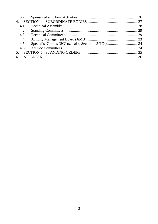| 3.7            |  |
|----------------|--|
| $\mathbf{4}$ . |  |
| 4.1            |  |
| 4.2            |  |
| 4.3            |  |
| 4.4            |  |
| 4.5            |  |
| 4.6            |  |
| $5^{\circ}$    |  |
|                |  |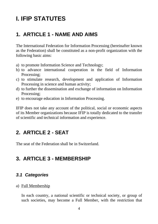# **I. IFIP STATUTES**

# **1. ARTICLE 1 - NAME AND AIMS**

The International Federation for Information Processing (hereinafter known as the Federation) shall be constituted as a non-profit organization with the following basic aims:

- a) to promote Information Science and Technology;
- b) to advance international cooperation in the field of Information Processing;
- c) to stimulate research, development and application of Information Processing in science and human activity;
- d) to further the dissemination and exchange of information on Information Processing;
- e) to encourage education in Information Processing.

IFIP does not take any account of the political, social or economic aspects of its Member organizations because IFIP is totally dedicated to the transfer of scientific and technical information and experience.

# **2. ARTICLE 2 - SEAT**

The seat of the Federation shall be in Switzerland.

# **3. ARTICLE 3 - MEMBERSHIP**

#### **3.1 Categories**

#### a) Full Membership

In each country, a national scientific or technical society, or group of such societies, may become a Full Member, with the restriction that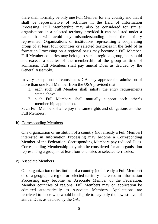there shall normally be only one Full Member for any country and that it shall be representative of activities in the field of Information Processing. Full Membership may also be considered for similar organisations in a selected territory provided it can be listed under a name that will avoid any misunderstanding about the territory represented. Organizations or institutions representing a cooperating group of at least four countries or selected territories in the field of In formation Processing on a regional basis may become a Full Member. Full Member countries may belong to such a regional group, but should not exceed a quarter of the membership of the group at time of admission. Full Members shall pay annual Dues as decided by the General Assembly.

In very exceptional circumstances GA may approve the admission of more than one Full Member from the USA provided that

- 1. each such Full Member shall satisfy the entry requirements stated above **stated** above
- 2. such Full Members shall mutually support each other's membership application.

Such Full Members shall enjoy the same rights and obligations as other Full Members.

#### b) Corresponding Members

One organization or institution of a country (not already a Full Member) interested in Information Processing may become a Corresponding Member of the Federation. Corresponding Members pay reduced Dues. Corresponding Membership may also be considered for an organisation representing a group of at least four countries or selected territories.

c) Associate Members

One organization or institution of a country (not already a Full Member) or of a geographic region or selected territory interested in Information Processing may become an Associate Member of the Federation. Member countries of regional Full Members may on application be admitted automatically as Associate Members. Applications are restricted to those who would be eligible to pay only the lowest level of annual Dues as decided by the GA.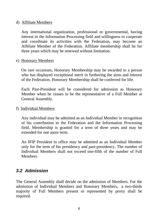#### d) Affiliate Members

Any international organization, professional or governmental, having interest in the Information Processing field and willingness to cooperate and coordinate its activities with the Federation, may become an Affiliate Member of the Federation. Affiliate membership shall be for three years which may be renewed without limitation.

e) Honorary Members

On rare occasions, Honorary Membership may be awarded to a person who has displayed exceptional merit in furthering the aims and interest of the Federation. Honorary Membership shall be conferred for life.

Each Past-President will be considered for admission as Honorary Member when he ceases to be the representative of a Full Member at General Assembly.

f) Individual Members

Any individual may be admitted as an Individual Member in recognition of his contribution to the Federation and the Information Processing field. Membership is granted for a term of three years and may be extended for one more term.

An IFIP President in office may be admitted as an Individual Member only for the term of his presidency and past-presidency. The number of Individual Members shall not exceed one-fifth of the number of Full Members.

# **3.2 Admission**

The General Assembly shall decide on the admission of Members. For the admission of Individual Members and Honorary Members, a two-thirds majority of Full Members present or represented by proxy shall be required.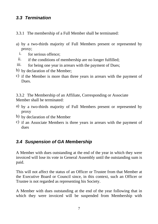# **3.3 Termination**

- 3.3.1 The membership of a Full Member shall be terminated:
- a) by a two-thirds majority of Full Members present or represented by proxy;
	- i. for serious offence;
- ii. if the conditions of membership are no longer fulfilled;
- iii. for being one year in arrears with the payment of Dues;
- b) by declaration of the Member;
- c) if the Member is more than three years in arrears with the payment of Dues.

3.3.2 The Membership of an Affiliate, Corresponding or Associate Member shall be terminated:

- a) by a two-thirds majority of Full Members present or represented by proxy
- b) by declaration of the Member
- c) if an Associate Members is three years in arrears with the payment of dues **due** to the contract of the contract of the contract of the contract of the contract of the contract of the contract of the contract of the contract of the contract of the contract of the contract of the contract of

# **3.4 Suspension of GA Membership**

A Member with dues outstanding at the end of the year in which they were invoiced will lose its vote in General Assembly until the outstanding sum is paid.

This will not affect the status of an Officer or Trustee from that Member at the Executive Board or Council since, in this context, such an Officer or Trustee is not regarded as representing his Society.

A Member with dues outstanding at the end of the year following that in which they were invoiced will be suspended from Membership with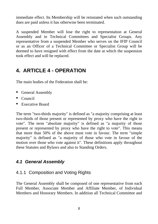immediate effect. Its Membership will be reinstated when such outstanding dues are paid unless it has otherwise been terminated.

A suspended Member will lose the right to representation at General Assembly and in Technical Committees and Specialist Groups. Any representative from a suspended Member who serves on the IFIP Council or as an Officer of a Technical Committee or Specialist Group will be deemed to have resigned with effect from the dateat which the suspension took effect and will be replaced.

# **4. ARTICLE 4 - OPERATION**

The main bodies of the Federation shall be:

- General Assembly
- **Council** contract the contract of the contract of the contract of the contract of the contract of the contract of the contract of the contract of the contract of the contract of the contract of the contract of the contrac
- Executive Board

The term "two-thirds majority" is defined as "a majority comprising at least two-thirds of those present or represented by proxy who have the right to vote". The term "absolute majority" is defined as "a majority of those present or represented by proxy who have the right to vote". This means that more than 50% of the above must vote in favour. The term "simple majority" is defined as "a majority of thosewho vote in favour of the motion over those who vote against it". These definitions apply throughout these Statutes and Bylaws and also to Standing Orders.

# **4.1 General Assembly**

# 4.1.1 Composition and Voting Rights

The General Assembly shall be composed of one representative from each Full Member, Associate Member and Affiliate Member, of Individual Members and Honorary Members. In addition all Technical Committee and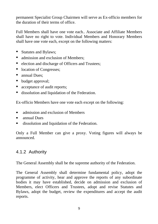permanent Specialist Group Chairmen will serve as Ex-officio members for the duration of their terms of office.

Full Members shall have one vote each.. Associate and Affiliate Members shall have no right to vote. Individual Members and Honorary Members shall have one vote each, except on the following matters:

- Statutes and Bylaws;
- $\bullet$ admission and exclusion of Members;
- election and discharge of Officers and Trustees;
- location of Congresses;
- annual Dues;
- budget approval;
- acceptance of audit reports;
- dissolution and liquidation of the Federation.

Ex-officio Members have one vote each except on the following:

- $\blacksquare$ admission and exclusion of Members
- $\blacksquare$ annual Dues
- $\blacksquare$ dissolution and liquidation of the Federation.

Only a Full Member can give a proxy. Voting figures will always be announced.

# 4.1.2 Authority

The General Assembly shall be the supreme authority of the Federation.

The General Assembly shall determine fundamental policy, adopt the programme of activity, hear and approve the reports of any subordinate bodies it may have established, decide on admission and exclusion of Members, elect Officers and Trustees, adopt and revise Statutes and Bylaws, adopt the budget, review the expenditures and accept the audit reports.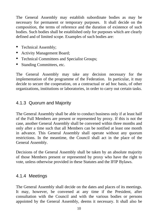The General Assembly may establish subordinate bodies as may be necessary for permanent or temporary purposes. It shall decide on the composition, the terms of reference and the duration of existence of such bodies. Such bodies shall be established only for purposes which are clearly defined and of limited scope. Examples of such bodies are:

- Technical Assembly;
- Activity Management Board;
- Technical Committees and Specialist Groups;
- Standing Committees, etc.

The General Assembly may take any decision necessary for the implementation of the programme of the Federation. In particular, it may decide to secure the cooperation, on a contractual or ad hoc basis, of other organizations, institutions or laboratories, in order to carry out certain tasks.

# 4.1.3 Quorum and Majority

The General Assembly shall be able to conduct business only if at least half of the Full Members are present or represented by proxy. If this is not the case, another General Assembly shall be convened within three months and only after a time such that all Members can be notified at least one month in advance. This General Assembly shall operate without any quorum restrictions. In the meantime, the Council shall act in the place of the General Assembly.

Decisions of the General Assembly shall be taken by an absolute majority of those Members present or represented by proxy who have the right to vote, unless otherwise provided in these Statutes and the IFIP Bylaws.

# 4.1.4 Meetings

The General Assembly shall decide on the dates and places of its meetings. It may, however, be convened at any time if the President, after consultation with the Council and with the various bodies or persons appointed by the General Assembly, deems it necessary. It shall also be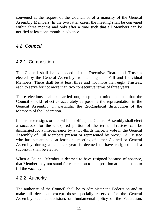convened at the request of the Council or of a majority of the General Assembly Members. In the two latter cases, the meeting shall be convened within three months and only after a time such that all Members can be notified at least one month in advance.

# **4.2 Council**

#### 4.2.1 Composition

The Council shall be composed of the Executive Board and Trustees elected by the General Assembly from amongst its Full and Individual Members. There shall be at least three and not more than eight Trustees, each to serve for not more than two consecutive terms of three years.

These elections shall be carried out, keeping in mind the fact that the Council should reflect as accurately as possible the representation in the General Assembly, in particular the geographical distribution of the Members of the Federation.

If a Trustee resigns or dies while in office, the General Assembly shall elect a successor for the unexpired portion of the term. Trustees can be discharged for a misdemeanor by a two-thirds majority vote in the General Assembly of Full Members present or represented by proxy. A Trustee who has not attended at least one meeting of either Council or General Assembly during a calendar year is deemed to have resigned and a successor shall be elected.

When a Council Member is deemed to have resigned because of absence, that Member may not stand for re-election to that position at the election to fill the vacancy.

#### 4.2.2 Authority

The authority of the Council shall be to administer the Federation and to make all decisions except those specially reserved for the General Assembly such as decisions on fundamental policy of the Federation,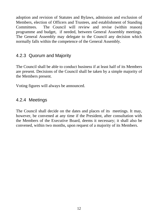adoption and revision of Statutes and Bylaws, admission and exclusion of Members, election of Officers and Trustees, and establishment of Standing Committees. The Council will review and revise (within reason) programme and budget, if needed, between General Assembly meetings. The General Assembly may delegate to the Council any decision which normally falls within the competence of the General Assembly.

## 4.2.3 Quorum and Majority

The Council shall be able to conduct business if at least half of its Members are present. Decisions of the Council shall be taken by a simple majority of the Members present.

Voting figures will always be announced.

# 4.2.4 Meetings

The Council shall decide on the dates and places of its meetings. It may, however, be convened at any time if the President, after consultation with the Members of the Executive Board, deems it necessary; it shall also be convened, within two months, upon request of a majority of its Members.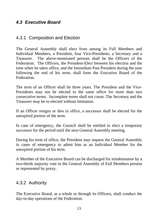## **4.3 Executive Board**

#### 4.3.1 Composition and Election

The General Assembly shall elect from among its Full Members and Individual Members, a President, four Vice-Presidents, a Secretary and a Treasurer. The above-mentioned persons shall be the Officers of the Federation. The Officers, the President-Elect between his election and the time when he takes office, and the Immediate Past President during the year following the end of his term, shall form the Executive Board of the Federation.

The term of an Officer shall be three years. The President and the Vice- Presidents may not be elected to the same office for more than two consecutive terms. Incomplete terms shall not count. The Secretary and the Treasurer may be re-elected without limitation.

If an Officer resigns or dies in office, a successor shall be elected for the unexpired portion of the term.

In case of emergency, the Council shall be entitled to elect a temporary successor for the period until the next General Assembly meeting.

During his term of office, the President may request the General Assembly in cases of emergency to admit him as an Individual Member for the unexpired portion of his term.

A Member of the Executive Board can be discharged for misdemeanor by a two-thirds majority vote in the General Assembly of Full Members present or represented by proxy.

#### 4.3.2 Authority

The Executive Board, as a whole or through its Officers, shall conduct the day-to-day operations of the Federation.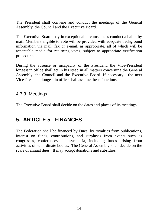The President shall convene and conduct the meetings of the General Assembly, the Council and the Executive Board.

The Executive Board may in exceptional circumstances conduct a ballot by mail. Members eligible to vote will be provided with adequate background information via mail, fax or e-mail, as appropriate, all of which will be acceptable media for returning votes, subject to appropriate verification procedures.

During the absence or incapacity of the President, the Vice-President longest in office shall act in his stead in all matters concerning the General Assembly, the Council and the Executive Board. If necessary, the next Vice-President longest in office shall assume these functions.

#### 4.3.3 Meetings

The Executive Board shall decide on the dates and places of its meetings.

# **5. ARTICLE 5 - FINANCES**

The Federation shall be financed by Dues, by royalties from publications, interest on funds, contributions, and surpluses from events such as congresses, conferences and symposia, including funds arising from activities of subordinate bodies. The General Assembly shall decide on the scale of annual dues. It may accept donations and subsidies.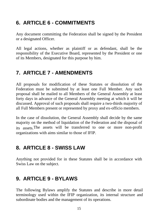# **6. ARTICLE 6 - COMMITMENTS**

Any document committing the Federation shall be signed by the President or a designated Officer.

All legal actions, whether as plaintiff or as defendant, shall be the responsibility of the Executive Board, represented by the President or one of its Members, designated for this purpose by him.

# **7. ARTICLE 7 - AMENDMENTS**

All proposals for modification of these Statutes or dissolution of the Federation must be submitted by at least one Full Member. Any such proposal shall be mailed to all Members of the General Assembly at least forty days in advance of the General Assembly meeting at which it will be discussed. Approval of such proposals shall require a two-thirds majority of

all Full Members present or represented by proxy and ex-officio members. In the case of dissolution, the General Assembly shall decide by the same majority on the method of liquidation of the Federation and the disposal of its assets.The assets will be transferred to one or more non-profit organizations with aims similar to those of IFIP.

# **8. ARTICLE 8 - SWISS LAW**

Anything not provided for in these Statutes shall be in accordance with Swiss Law on the subject.

# **9. ARTICLE 9 - BYLAWS**

The following Bylaws amplify the Statutes and describe in more detail terminology used within the IFIP organization, its internal structure and subordinate bodies and the management of its operations.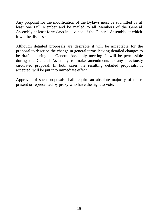Any proposal for the modification of the Bylaws must be submitted by at least one Full Member and be mailed to all Members of the General Assembly at least forty days in advance of the General Assembly at which it will be discussed.

Although detailed proposals are desirable it will be acceptable for the proposal to describe the change in general terms leaving detailed changes to be drafted during the General Assembly meeting. It will be permissible during the General Assembly to make amendments to any previously circulated proposal. In both cases the resulting detailed proposals, if accepted, will be put into immediate effect.

Approval of such proposals shall require an absolute majority of those present or represented by proxy who have the right to vote.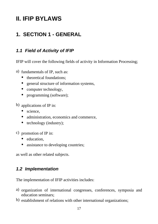# **II. IFIP BYLAWS**

# **1. SECTION 1 - GENERAL**

## **1.1 Field of Activity of IFIP**

IFIP will cover the following fields of activity in Information Processing;

- a) fundamentals of IP, such as:
	- theoretical foundations:
	- general structure of information systems,
	- computer technology,
	- programming (software);
- b) applications of IP in:
	- $\bullet$ science,
	- administration, economics and commerce,
	- $\bullet$  technology (industry);
- c) promotion of IP in:
	- education,
	- assistance to developing countries;

as well as other related subjects.

# **1.2 Implementation**

The implementation of IFIP activities includes:

- a) organization of international congresses, conferences, symposia and education seminars;
- b) establishment of relations with other international organizations;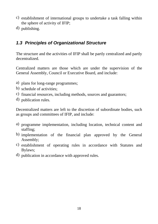- c) establishment of international groups to undertake a task falling within the sphere of activity of IFIP;
- d) publishing.

# **1.3 Principles of Organizational Structure**

The structure and the activities of IFIP shall be partly centralized and partly decentralized.

Centralized matters are those which are under the supervision of the General Assembly, Council or Executive Board, and include:

- a) plans for long-range programmes;
- b) schedule of activities;
- c) financial resources, including methods, sources and guarantors;
- d) publication rules.

Decentralized matters are left to the discretion of subordinate bodies, such as groups and committees of IFIP, and include:

- a) programme implementation, including location, technical content and staffing; where  $\frac{1}{2}$  is the state of  $\frac{1}{2}$  is the state of  $\frac{1}{2}$  is the state of  $\frac{1}{2}$  is the state of  $\frac{1}{2}$  is the state of  $\frac{1}{2}$  is the state of  $\frac{1}{2}$  is the state of  $\frac{1}{2}$  is the state o
- b) implementation of the financial plan approved by the General Assembly; and the set of  $\mathcal{A}$  is the set of  $\mathcal{A}$  is the set of  $\mathcal{A}$  is the set of  $\mathcal{A}$  is the set of  $\mathcal{A}$  is the set of  $\mathcal{A}$  is the set of  $\mathcal{A}$  is the set of  $\mathcal{A}$  is the set of  $\mathcal{A}$  is t
- c) establishment of operating rules in accordance with Statutes and Bylaws; and the set of the set of the set of the set of the set of the set of the set of the set of the set of the set of the set of the set of the set of the set of the set of the set of the set of the set of the set of t
- d) publication in accordance with approved rules.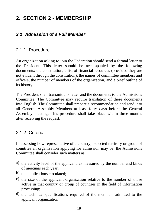# **2. SECTION 2 - MEMBERSHIP**

# **2.1 Admission of a Full Member**

## 2.1.1 Procedure

An organization asking to join the Federation should send a formal letter to the President. This letter should be accompanied by the following documents: the constitution, a list of financial resources (provided they are not evident through the constitution), the names of committee members and officers, the number of members of the organization, and a brief outline of its history.

The President shall transmit this letter and the documents to the Admissions Committee. The Committee may require translation of these documents into English. The Committee shall prepare a recommendation and send it to all General Assembly Members at least forty days before the General Assembly meeting. This procedure shall take place within three months after receiving the request.

#### 2.1.2 Criteria

In assessing how representative of a country, selected territory or group of countries an organization applying for admission may be, the Admissions Committee shall consider such matters as:

- a) the activity level of the applicant, as measured by the number and kinds of meetings each year;
- b) the publications circulated;
- c) the size of the applicant organization relative to the number of those active in that country or group of countries in the field of information processing;
- d) the technical qualifications required of the members admitted to the applicant organization;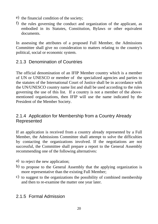- e) the financial condition of the society;
- f) the rules governing the conduct and organization of the applicant, as embodied in its Statutes, Constitution, Bylaws or other equivalent documents.

In assessing the attributes of a proposed Full Member, the Admissions Committee shall give no consideration to matters relating to the country's political, social or economic system.

# 2.1.3 Denomination of Countries

The official denomination of an IFIP Member country which is a member of UN or UNESCO or member of the specialized agencies and parties to the statutes of the International Court of Justice shall be in accordance with the UN/UNESCO country name list and shall be used according to the rules governing the use of this list. If a country is not a member of the above mentioned organizations, then IFIP will use the name indicated by the President of the Member Society.

## 2.1.4 Application for Membership from a Country Already Represented

If an application is received from a country already represented by a Full Member, the Admissions Committee shall attempt to solve the difficulties by contacting the organizations involved. If the negotiations are not successful, the Committee shall prepare a report to the General Assembly recommending one of the following alternatives:

- a) to reject the new application;
- b) to propose to the General Assembly that the applying organization is more representative than the existing Full Member;
- c) to suggest to the organizations the possibility of combined membership and then to re-examine the matter one year later.

# 2.1.5 Formal Admission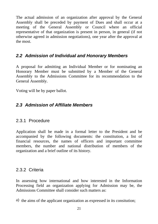The actual admission of an organization after approval by the General Assembly shall be preceded by payment of Dues and shall occur at a meeting of the General Assembly or Council where an official representative of that organization is present in person, in general (if not otherwise agreed in admission negotiations), one year after the approval at the most.

## **2.2 Admission of Individual and Honorary Members**

A proposal for admitting an Individual Member or for nominating an Honorary Member must be submitted by a Member of the General Assembly to the Admissions Committee for its recommendation to the General Assembly.

Voting will be by paper ballot.

# **2.3 Admission of Affiliate Members**

# 2.3.1 Procedure

Application shall be made in a formal letter to the President and be accompanied by the following documents: the constitution, a list of financial resources, the names of officers and important committee members, the number and national distribution of members of the organization and a brief outline of its history.

# 2.3.2 Criteria

In assessing how international and how interested in the Information Processing field an organization applying for Admission may be, the Admissions Committee shall consider such matters as:

a) the aims of the applicant organization as expressed in its consitution;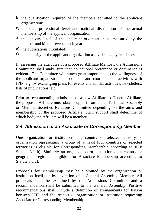- b) the qualification required of the members admitted to the applicant organization;
- c) the size, professional level and national distribution of the actual membership of the applicant organization;
- d) the activity level of the applicant organization as measured by the number and kind of events each year;
- e) the publications circulated;
- f) the maturity of the applicant organization as evidenced by its history.

In assessing the attributes of a proposed Affiliate Member, the Admissions Committee shall make sure that no national preference or dominance is evident. The Committee will attach great importance to the willingness of the applicant organization to cooperate and coordinate its activities with IFIP, e.g. by exchanging plans for events and similar activities, newsletters, lists of publications, etc.

Prior to recommending admission of a new Affiliate to General Affiliate, the proposed Affiliate must obtain support from either Technical Assembly or Member Societies Relations Committee depending on the aims and membership of the proposed Affiliate. Such support shall determine of which body the Affiliate will be a member.

# **2.4 Admission of an Associate or Corresponding Member**

One organization or institution of a country or selected territory or organization representing a group of at least four countries or selected territories is eligible for Corresponding Membership according to IFIP Statute 3.1 b). Similarly an organization or institution of a country or geographic region is eligible for Associate Membership according to Statute 3.1 c).

Proposals for Membership may be submitted by the organization or institution itself, or by invitation of a General Assembly Member. All proposals shall be examined by the Admissions Committee and a recommendation shall be submitted to the General Assembly. Positive recommendations shall include a definition of arrangements for liaison between IFIP and the respective organization or institution requesting Associate or Corresponding Membership.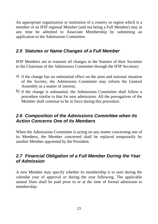An appropriate organization or institution of a country or region which is a member of an IFIP regional Member (and not being a Full Member) may at any time be admitted to Associate Membership by submitting an application to the Admissions Committee.

# **2.5 Statutes or Name Changes of a Full Member**

IFIP Members are to transmit all changes in the Statutes of their Societies to the Chairman of the Admissions Committee through the IFIP Secretary:

- a) if the change has no substantial effect on the aims and national situation of the Society, the Admissions Committee may inform the General Assembly as a matter of interest;
- b) if the change is substantial, the Admissions Committee shall follow a procedure similar to that for new admissions. All the prerogatives of the Member shall continue to be in force during this procedure.

#### **2.6 Composition of the Admissions Committee when its Action Concerns One of its Members**

When the Admissions Committee is acting on any matter concerning one of its Members, the Member concerned shall be replaced temporarily by another Member appointed by the President.

# **2.7 Financial Obligation of a Full Member During the Year of Admission**

A new Member may specify whether its membership is to start during the calendar year of approval or during the year following. The applicable annual Dues shall be paid prior to or at the time of formal admission to membership.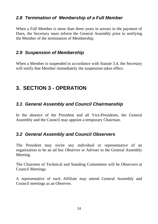# **2.8 Termination of Membership of a Full Member**

When a Full Member is more than three years in arrears in the payment of Dues, the Secretary must inform the General Assembly prior to notifying the Member of the termination of Membership.

# **2.9 Suspension of Membership**

When a Member is suspended in accordance with Statute 3.4, the Secretary will notify that Member immediately the suspension takes effect.

# **3. SECTION 3 - OPERATION**

# **3.1 General Assembly and Council Chairmanship**

In the absence of the President and all Vice-Presidents, the General Assembly and the Council may appoint a temporary Chairman.

# **3.2 General Assembly and Council Observers**

The President may invite any individual or representative of an organization to be an ad hoc Observer or Adviser to the General Assembly Meeting.

The Chairmen of Technical and Standing Committees will be Observers at Council Meetings.

A representative of each Affiliate may attend General Assembly and Council meetings as an Observer.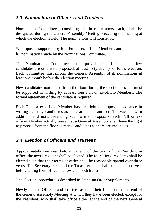# **3.3 Nomination of Officers and Trustees**

Nomination Committees, consisting of three members each, shall be designated during the General Assembly Meeting preceding the meeting at which the election is held. The nominations will consist of

- a) proposals supported by four Full or ex-officio Members, and
- b) nominations made by the Nominations Committee.

The Nominations Committees must provide candidates if too few candidates are otherwise proposed, at least forty days prior to the election. Each Committee must inform the General Assembly of its nominations at least one month before the election meeting.

New candidates nominated from the floor during the election session must be supported in writing by at least four Full or ex-officio Members. The formal agreement of the candidate is required.

Each Full or ex-officio Member has the right to propose in advance in writing as many candidates as there are actual and possible vacancies. In addition, and notwithstanding such written proposals, each Full or ex officio Member actually present at a General Assembly shall have the right to propose from the floor as many candidates as there are vacancies.

# **3.4 Election of Officers and Trustees**

Approximately one year before the end of the term of the President in office, the next President shall be elected. The four Vice-Presidents shall be elected such that their terms of office shall be reasonably spread over three years. The Secretary-elect and the Treasurer-elect shall be elected one year before taking their office to allow a smooth transition.

The election procedure is described in Standing Order Supplements.

Newly elected Officers and Trustees assume their functions at the end of the General Assembly Meeting at which they have been elected, except for the President, who shall take office either at the end of the next General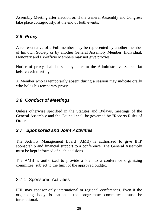Assembly Meeting after election or, if the General Assembly and Congress take place contiguously, at the end of both events.

# **3.5 Proxy**

A representative of a Full member may be represented by another member of his own Society or by another General Assembly Member. Individual, Honorary and Ex-officio Members may not give proxies.

Notice of proxy shall be sent by letter to the Administrative Secretariat before each meeting.

A Member who is temporarily absent during a session may indicate orally who holds his temporary proxy.

# **3.6 Conduct of Meetings**

Unless otherwise specified in the Statutes and Bylaws, meetings of the General Assembly and the Council shall be governed by "Roberts Rules of Order".

# **3.7 Sponsored and Joint Activities**

The Activity Management Board (AMB) is authorized to give IFIP sponsorship and financial support to a conference. The General Assembly must be kept informed of such decisions.

The AMB is authorized to provide a loan to a conference organizing committee, subject to the limit of the approved budget.

# 3.7.1 Sponsored Activities

IFIP may sponsor only international or regional conferences. Even if the organizing body is national, the programme committees must be international.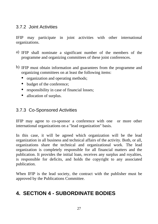## 3.7.2 Joint Activities

IFIP may participate in joint activities with other international organizations.

- a) IFIP shall nominate a significant number of the members of the programme and organizing committees of these joint conferences.
- b) IFIP must obtain information and guarantees from the programme and organizing committees on at least the following items:
	- organization and operating methods;
	- budget of the conference;
	- responsibility in case of financial losses;
	- allocation of surplus.

# 3.7.3 Co-Sponsored Activities

IFIP may agree to co-sponsor a conference with one or more other international organizations on a "lead organization" basis.

In this case, it will be agreed which organization will be the lead organization in all business and technical affairs of the activity. Both, or all, organizations share the technical and organizational work. The lead organization is completely responsible for all financial matters and the publication. It provides the initial loan, receives any surplus and royalties, is responsible for deficits, and holds the copyright to any associated publication.

When IFIP is the lead society, the contract with the publisher must be approved by the Publications Committee.

# **4. SECTION 4 - SUBORDINATE BODIES**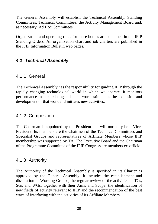The General Assembly will establish the Technical Assembly, Standing Committees, Technical Committees, the Activity Management Board and, as necessary, Ad Hoc Committees.

Organization and operating rules for these bodies are contained in the IFIP Standing Orders. An organization chart and job charters are published in the IFIP Information Bulletin web pages.

# **4.1 Technical Assembly**

## 4.1.1 General

The Technical Assembly has the responsibility for guiding IFIP through the rapidly changing technological world in which we operate. It monitors performance in our existing technical work, stimulates the extension and development of that work and initiates new activities.

#### 4.1.2 Composition

The Chairman is appointed by the President and will normally be a Vice- President. Its members are the Chairmen of the Technical Committees and Specialist Groups and representatives of Affiliate Members whose IFIP membership was supported by TA. The Executive Board and the Chairman of the Programme Committee of the IFIP Congress are members ex-officio.

#### 4.1.3 Authority

The Authority of the Technical Assembly is specified in its Charter as approved by the General Assembly. It includes the establishment and dissolution of Working Groups, the regular review of the activities of TCs, SGs and WGs, together with their Aims and Scope, the identification of new fields of activity relevant to IFIP and the recommendation of the best ways of interfacing with the activities of its Affiliate Members.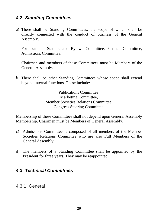## **4.2 Standing Committees**

a) There shall be Standing Committees, the scope of which shall be directly connected with the conduct of business of the General Assembly.

For example: Statutes and Bylaws Committee, Finance Committee, Admissions Committee.

Chairmen and members of these Committees must be Members of the General Assembly.

b) There shall be other Standing Committees whose scope shall extend beyond internal functions. These include:

> Publications Committee, Marketing Committee, Member Societies Relations Committee, Congress Steering Committee.

Membership of these Committees shall not depend upon General Assembly Membership. Chairmen must be Members of General Assembly.

- c) Admissions Committee is composed of all members of the Member Societies Relations Committee who are also Full Members of the General Assembly.
- d) The members of a Standing Committee shall be appointed by the President for three years. They may be reappointed.

#### **4.3 Technical Committees**

#### 4.3.1 General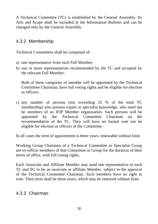A Technical Committee (TC) is established by the General Assembly. Its Aim and Scope shall be included in the Information Bulletin and can be changed only by the General Assembly.

# 4.3.2 Membership

Technical Committees shall be composed of:

- a) one representative from each Full Member;
- b) one or more representatives recommended by the TC and accepted by the relevant Full Member;

Both of these categories of member will be appointed by the Technical Committee Chairman, have full voting rights and be eligible for election as officers.

c) any number of persons (not exceeding 25 % of the total TC membership) who possess expert or specialist knowledge, who need not be members of an IFIP Member organization. Such persons will be appointed by the Technical Committee Chairman on the recommendation of the TC. They will have no formal vote nor be eligible for election as officers of the Committee.

In all cases the term of appointment is three years, renewable without limit.

Working Group Chairmen of a Technical Committee or Specialist Group are ex-officio members of that Committee or Group for the duration of their terms of office, with full voting rights.

Each Associate and Affiliate Member may send one representative to each TC and SG to be an associate or affiliate Member, subject to the approval of the Technical Committee Chairman. Such members have no right to vote. Their term shall be three years, which may be renewed without limit.

# 4.3.3 Chairman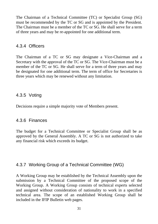The Chairman of a Technical Committee (TC) or Specialist Group (SG) must be recommended by the TC or SG and is appointed by the President. The Chairman must be a member of the TC or SG. He shall serve for a term of three years and may be re-appointed for one additional term.

#### 4.3.4 Officers

The Chairman of a TC or SG may designate a Vice-Chairman and a Secretary with the approval of the TC or SG. The Vice-Chairman must be a member of the TC or SG. He shall serve for a term of three years and may be designated for one additional term. The term of office for Secretaries is three years which may be renewed without any limitation.

#### 4.3.5 Voting

Decisions require a simple majority vote of Members present.

# 4.3.6 Finances

The budget for a Technical Committee or Specialist Group shall be as approved by the General Assembly. A TC or SG is not authorized to take any financial risk which exceeds its budget.

# 4.3.7 Working Group of a Technical Committee (WG)

A Working Group may be established by the Technical Assembly upon the submission by a Technical Committee of the proposed scope of the Working Group. A Working Group consists of technical experts selected and assigned without consideration of nationality to work in a specified technical area. The scope of an established Working Group shall be included in the IFIP Bulletin web pages.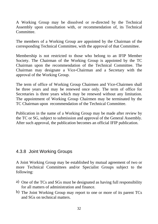A Working Group may be dissolved or re-directed by the Technical Assembly upon consultation with, or recommendation of, its Technical Committee.

The members of a Working Group are appointed by the Chairman of the corresponding Technical Committee, with the approval of that Committee.

Membership is not restricted to those who belong to an IFIP Member Society. The Chairman of the Working Group is appointed by the TC Chairman upon the recommendation of the Technical Committee.The Chairman may designate a Vice-Chairman and a Secretary with the approval of the Working Group.

The term of office of Working Group Chairmen and Vice-Chairmen shall be three years and may be renewed once only. The term of office for Secretaries is three years which may be renewed without any limitation. The appointment of Working Group Chairmen may be terminated by the TC Chairman upon recommendation of the Technical Committee.

Publication in the name of a Working Group may be made after review by the TC or SG, subject to submission and approval of the General Assembly. After such approval, the publication becomes an official IFIP publication.

#### 4.3.8 Joint Working Groups

A Joint Working Group may be established by mutual agreement of two or more Technical Committees and/or Specialist Groups subject to the following: the contract of the contract of the contract of the contract of the contract of the contract of the contract of the contract of the contract of the contract of the contract of the contract of the contract of the

- a) One of the TCs and SGs must be designated as having full responsibility for all matters of administration and finance.
- b) The Joint Working Group may report to one or more of its parent TCs and SGs on technical matters.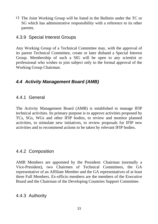c) The Joint Working Group will be listed in the Bulletin under the TC or SG which has administrative responsibility with a reference to its other parents.

#### 4.3.9 Special Interest Groups

Any Working Group of a Technical Committee may, with the approval of its parent Technical Committee, create or later disband a Special Interest Group. Membership of such a SIG will be open to any scientist or professional who wishes to join subject only to the formal approval of the Working Group Chairman.

# **4.4 Activity Management Board (AMB)**

#### 4.4.1 General

The Activity Management Board (AMB) is established to manage IFIP technical activities. Its primary purpose is to approve activities proposed by TCs, SGs, WGs and other IFIP bodies, to review and monitor planned activities, to stimulate new initiatives, to review proposals for IFIP new activities and to recommend actions to be taken by relevant IFIP bodies.

#### 4.4.2 Composition

AMB Members are appointed by the President: Chairman (normally a Vice-President), two Chairmen of Technical Committees, the GA representative of an Affiliate Member and the GA representatives of at least three Full Members. Ex-officio members are the members of the Executive Board and the Chairman of the Developing Countries Support Committee.

#### 4.4.3 Authority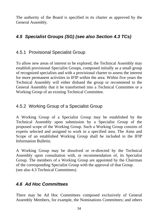The authority of the Board is specified in its charter as approved by the General Assembly.

# **4.5 Specialist Groups (SG) (see also Section 4.3 TCs)**

#### 4.5.1 Provisional Specialist Group

To allow new areas of interest to be explored, the Technical Assembly may establish provisional Specialist Groups, composed initially as a small group of recognized specialists and with a provisional charter to assess the interest for more permanent activities in IFIP within the area. Within five years the Technical Assembly will either disband the group or recommend to the General Assembly that it be transformed into a Technical Committee or a Working Group of an existing Technical Committee.

# 4.5.2 Working Group of a Specialist Group

A Working Group of a Specialist Group may be established by the Technical Assembly upon submission by a Specialist Group of the proposed scope of the Working Group. Such a Working Group consists of experts selected and assigned to work in a specified area. The Aims and Scope of an established Working Group shall be included in the IFIP Information Bulletin.

A Working Group may be dissolved or re-directed by the Technical Assembly upon consultation with, or recommendation of, its Specialist Group. The members of a Working Group are appointed by the Chairman of the corresponding Specialist Group with the approval of that Group. (see also 4.3 Technical Committees)

# **4.6 Ad Hoc Committees**

There may be Ad Hoc Committees composed exclusively of General Assembly Members, for example, the Nominations Committees; and others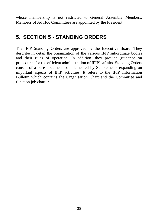whose membership is not restricted to General Assembly Members. Members of Ad Hoc Committees are appointed by the President.

# **5. SECTION 5 - STANDING ORDERS**

The IFIP Standing Orders are approved by the Executive Board. They describe in detail the organization of the various IFIP subordinate bodies and their rules of operation. In addition, they provide guidance on procedures for the efficient administration of IFIP's affairs. Standing Orders consist of a base document complemented by Supplements expanding on important aspects of IFIP activities. It refers to the IFIP Information Bulletin which contains the Organisation Chart and the Committee and function job charters.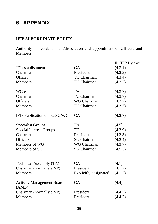# **6. APPENDIX**

#### **IFIP SUBORDINATE BODIES**

Authority for establishment/dissolution and appointment of Officers and Members **Mathematics Mathematics Mathematics Mathematics Mathematics Mathematics** 

|                                           |                              | II. IFIP Bylaws |
|-------------------------------------------|------------------------------|-----------------|
| TC establishment                          | GA                           | (4.3.1)         |
| Chairman                                  | President                    | (4.3.3)         |
| Officer                                   | TC Chairman                  | (4.3.4)         |
| Members                                   | TC Chairman                  | (4.3.2)         |
|                                           |                              |                 |
| WG establishment                          | <b>TA</b>                    | (4.3.7)         |
| Chairman                                  | TC Chairman                  | (4.3.7)         |
| Officers                                  | WG Chairman                  | (4.3.7)         |
| Members                                   | TC Chairman                  | (4.3.7)         |
| IFIP Publication of TC/SG/WG GA           |                              | (4.3.7)         |
|                                           |                              |                 |
| Specialist Groups                         | TA                           | (4.5)           |
| Special Interest Groups                   | <b>TC</b>                    | (4.3.9)         |
| Chairman                                  | President                    | (4.3.3)         |
| Officers                                  | SG Chairman                  | (4.3.4)         |
| Members of WG                             | WG Chairman                  | (4.3.7)         |
| Members of SG                             | SG Chairman                  | (4.5.3)         |
|                                           |                              |                 |
|                                           |                              |                 |
| Technical Assembly (TA)                   | GA                           | (4.1)           |
| Chairman (normally a VP)                  | President                    | (4.1.2)         |
| Members                                   | <b>Explicitly designated</b> | (4.1.2)         |
|                                           |                              |                 |
| <b>Activity Management Board</b><br>(AMB) | GA                           | (4.4)           |
| Chairman (normally a VP)                  | President                    | (4.4.2)         |
| Members                                   | President                    | (4.4.2)         |
|                                           |                              |                 |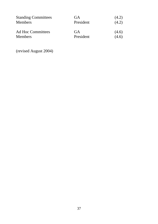| <b>Standing Committees</b><br>Members | $\sim$<br><b>UA</b><br>$\sim$ $\sim$ $\sim$<br>President | (4.2)<br>(4.2)                                      |
|---------------------------------------|----------------------------------------------------------|-----------------------------------------------------|
| Ad Hoc Committees<br>Members          | <b>UA</b><br>$\sim$ $\sim$<br>President                  | (4.6)<br>and the state of the state of the<br>(4.6) |

(revised August 2004)